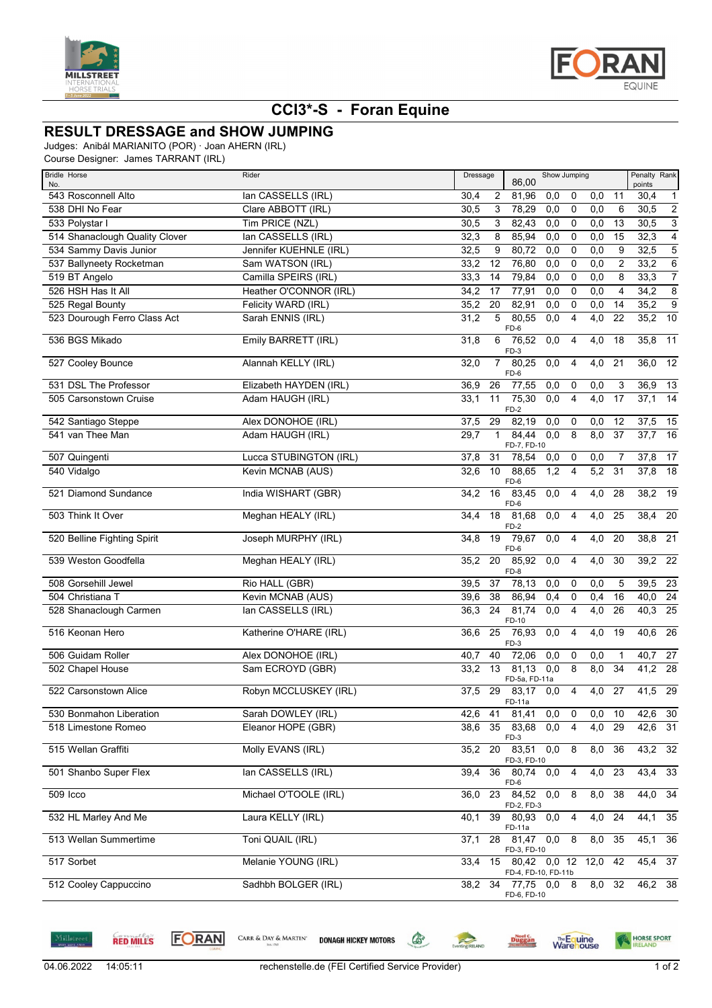



## **CCI3\*-S - Foran Equine**

## **RESULT DRESSAGE and SHOW JUMPING**

Judges: Anibál MARIANITO (POR) · Joan AHERN (IRL)

Course Designer: James TARRANT (IRL)

| 543 Rosconnell Alto<br>lan CASSELLS (IRL)<br>30,4<br>2<br>81,96<br>0,0<br>$\mathbf 0$<br>0,0<br>11<br>30,4<br>$\mathbf{1}$<br>Clare ABBOTT (IRL)<br>30,5<br>3<br>538 DHI No Fear<br>78,29<br>0,0<br>0<br>0,0<br>6<br>30,5<br>Tim PRICE (NZL)<br>82,43<br>533 Polystar I<br>30,5<br>3<br>0,0<br>13<br>30,5<br>0<br>0,0<br>514 Shanaclough Quality Clover<br>lan CASSELLS (IRL)<br>85,94<br>32,3<br>8<br>0,0<br>15<br>32,3<br>0,0<br>0<br>534 Sammy Davis Junior<br>32,5<br>9<br>80,72<br>0,0<br>0,0<br>9<br>32,5<br>Jennifer KUEHNLE (IRL)<br>$\mathbf 0$<br>537 Ballyneety Rocketman<br>$\overline{2}$<br>33,2<br>Sam WATSON (IRL)<br>33,2<br>12<br>76,80<br>0,0<br>0,0<br>0<br>Camilla SPEIRS (IRL)<br>8<br>519 BT Angelo<br>33,3<br>14<br>79,84<br>0,0<br>0,0<br>33,3<br>0<br>526 HSH Has It All<br>Heather O'CONNOR (IRL)<br>0,0<br>4<br>34,2<br>34,2<br>17<br>77,91<br>0,0<br>0<br>Felicity WARD (IRL)<br>14<br>35,2<br>525 Regal Bounty<br>35,2<br>82,91<br>0,0<br>0<br>0,0<br>20<br>80,55<br>523 Dourough Ferro Class Act<br>Sarah ENNIS (IRL)<br>31,2<br>5<br>0,0<br>4<br>4,0<br>22<br>35,2<br>10<br>FD-6<br>536 BGS Mikado<br>Emily BARRETT (IRL)<br>6<br>76,52<br>0,0<br>$\overline{4,0}$<br>18<br>35,8<br>31,8<br>4<br>FD-3<br>Alannah KELLY (IRL)<br>$\overline{7}$<br>$\overline{4,0}$<br>21<br>36,0<br>527 Cooley Bounce<br>32,0<br>80,25<br>0,0<br>4<br>$FD-6$<br>531 DSL The Professor<br>Elizabeth HAYDEN (IRL)<br>26<br>77,55<br>0,0<br>0,0<br>3<br>36,9<br>13<br>36,9<br>0<br>$\overline{4,0}$<br>Adam HAUGH (IRL)<br>11<br>75,30<br>0,0<br>$\overline{4}$<br>17<br>37,1<br>14<br>505 Carsonstown Cruise<br>33,1<br>$FD-2$<br>15<br>Alex DONOHOE (IRL)<br>37,5<br>29<br>82,19<br>0,0<br>0,0<br>12<br>37,5<br>542 Santiago Steppe<br>0<br>541 van Thee Man<br>Adam HAUGH (IRL)<br>84,44<br>0,0<br>8<br>8,0<br>37<br>16<br>29,7<br>$\mathbf{1}$<br>37,7<br>FD-7, FD-10<br>507 Quingenti<br>Lucca STUBINGTON (IRL)<br>78,54<br>17<br>37,8<br>31<br>0,0<br>0,0<br>7<br>37,8<br>0<br>5,2<br>Kevin MCNAB (AUS)<br>10<br>88,65<br>1,2<br>31<br>37,8<br>540 Vidalgo<br>32,6<br>4<br>$FD-6$<br>16<br>83,45<br>$\overline{4,0}$<br>38,2<br>19<br>521 Diamond Sundance<br>India WISHART (GBR)<br>34,2<br>0,0<br>$\overline{4}$<br>28<br>$FD-6$<br>Meghan HEALY (IRL)<br>81,68<br>$\overline{0,0}$<br>$\overline{4,0}$<br>25<br>38,4<br>503 Think It Over<br>34,4<br>18<br>$\overline{4}$<br>$FD-2$<br>520 Belline Fighting Spirit<br>Joseph MURPHY (IRL)<br>19<br>79,67<br>$\overline{0,0}$<br>$\overline{4,0}$<br>38,8 21<br>34,8<br>$\overline{4}$<br>20<br>FD-6<br>$39,2$ 22<br>539 Weston Goodfella<br>Meghan HEALY (IRL)<br>20<br>85,92<br>35,2<br>0,0<br>4<br>4,0<br>30<br>FD-8<br>508 Gorsehill Jewel<br>Rio HALL (GBR)<br>37<br>78,13<br>$\overline{0,0}$<br>0,0<br>39,5<br>$\overline{23}$<br>39,5<br>$\mathbf 0$<br>5<br>$\overline{24}$<br>Kevin MCNAB (AUS)<br>38<br>86,94<br>$\mathbf 0$<br>16<br>40,0<br>504 Christiana T<br>39,6<br>0,4<br>0,4<br>$\overline{24}$<br>$\overline{4,0}$<br>40,3<br>lan CASSELLS (IRL)<br>36,3<br>81,74<br>$\overline{0,0}$<br>4<br>26<br>528 Shanaclough Carmen<br>FD-10<br>516 Keonan Hero<br>$\overline{26}$<br>Katherine O'HARE (IRL)<br>25<br>76,93<br>0,0<br>4<br>4,0<br>19<br>40,6<br>36,6<br>$FD-3$<br>72,06<br>506 Guidam Roller<br>Alex DONOHOE (IRL)<br>40,7<br>40<br>0,0<br>$\mathbf 0$<br>0,0<br>40,7<br>$\mathbf{1}$<br>Sam ECROYD (GBR)<br>13<br>81,13<br>0,0<br>8<br>8,0<br>34<br>41,2<br>28<br>502 Chapel House<br>33,2<br>FD-5a, FD-11a<br>Robyn MCCLUSKEY (IRL)<br>41,5<br>522 Carsonstown Alice<br>29<br>83,17<br>4<br>4,0<br>27<br>37,5<br>0.0<br>FD-11a<br>Sarah DOWLEY (IRL)<br>530 Bonmahon Liberation<br>41<br>81,41<br>0,0<br>10<br>42,6 30<br>42,6<br>0<br>0,0<br>Eleanor HOPE (GBR)<br>35<br>83,68<br>0,0<br>4<br>4,0<br>29<br>42,6 31<br>518 Limestone Romeo<br>38,6<br>FD-3<br>$43,2$ 32<br>Molly EVANS (IRL)<br>20<br>83,51<br>0,0<br>8<br>8,0<br>36<br>515 Wellan Graffiti<br>35,2<br>FD-3, FD-10<br>501 Shanbo Super Flex<br>lan CASSELLS (IRL)<br>36<br>4,0<br>23<br>43,4 33<br>39,4<br>80,74<br>0,0<br>4<br>FD-6<br>Michael O'TOOLE (IRL)<br>23 84,52<br>8,0<br>38<br>44,0 34<br>509 Icco<br>36,0<br>0,0<br>8<br>FD-2, FD-3<br>Laura KELLY (IRL)<br>39<br>4,0<br>24<br>44,1<br>532 HL Marley And Me<br>40,1<br>80,93<br>0,0<br>4<br>FD-11a<br>513 Wellan Summertime<br>Toni QUAIL (IRL)<br>8,0<br>$45,1$ 36<br>28<br>81,47 0,0<br>8<br>35<br>37,1<br>FD-3, FD-10<br>Melanie YOUNG (IRL)<br>80,42 0,0 12 12,0<br>45,4 37<br>517 Sorbet<br>33,4<br>42<br>15<br>FD-4, FD-10, FD-11b<br>46,2 38<br>8,0 32<br>512 Cooley Cappuccino<br>Sadhbh BOLGER (IRL)<br>34<br>77,75 0,0 8<br>38,2<br>FD-6, FD-10 | <b>Bridle Horse</b> | Rider | Dressage | Show Jumping<br>86,00 |  |  |  | Penalty Rank |                           |
|-----------------------------------------------------------------------------------------------------------------------------------------------------------------------------------------------------------------------------------------------------------------------------------------------------------------------------------------------------------------------------------------------------------------------------------------------------------------------------------------------------------------------------------------------------------------------------------------------------------------------------------------------------------------------------------------------------------------------------------------------------------------------------------------------------------------------------------------------------------------------------------------------------------------------------------------------------------------------------------------------------------------------------------------------------------------------------------------------------------------------------------------------------------------------------------------------------------------------------------------------------------------------------------------------------------------------------------------------------------------------------------------------------------------------------------------------------------------------------------------------------------------------------------------------------------------------------------------------------------------------------------------------------------------------------------------------------------------------------------------------------------------------------------------------------------------------------------------------------------------------------------------------------------------------------------------------------------------------------------------------------------------------------------------------------------------------------------------------------------------------------------------------------------------------------------------------------------------------------------------------------------------------------------------------------------------------------------------------------------------------------------------------------------------------------------------------------------------------------------------------------------------------------------------------------------------------------------------------------------------------------------------------------------------------------------------------------------------------------------------------------------------------------------------------------------------------------------------------------------------------------------------------------------------------------------------------------------------------------------------------------------------------------------------------------------------------------------------------------------------------------------------------------------------------------------------------------------------------------------------------------------------------------------------------------------------------------------------------------------------------------------------------------------------------------------------------------------------------------------------------------------------------------------------------------------------------------------------------------------------------------------------------------------------------------------------------------------------------------------------------------------------------------------------------------------------------------------------------------------------------------------------------------------------------------------------------------------------------------------------------------------------------------------------------------------------------------------------------------------------------------------------------------------------------------------------------------------------------------------------------------------------------------------------------------------------------------------------------------------------------------------------------------------------------------------------------------------------------------------------------------------------------------------------------------------------------------------------------------------------------------------------------------------------------------------------|---------------------|-------|----------|-----------------------|--|--|--|--------------|---------------------------|
|                                                                                                                                                                                                                                                                                                                                                                                                                                                                                                                                                                                                                                                                                                                                                                                                                                                                                                                                                                                                                                                                                                                                                                                                                                                                                                                                                                                                                                                                                                                                                                                                                                                                                                                                                                                                                                                                                                                                                                                                                                                                                                                                                                                                                                                                                                                                                                                                                                                                                                                                                                                                                                                                                                                                                                                                                                                                                                                                                                                                                                                                                                                                                                                                                                                                                                                                                                                                                                                                                                                                                                                                                                                                                                                                                                                                                                                                                                                                                                                                                                                                                                                                                                                                                                                                                                                                                                                                                                                                                                                                                                                                                                                                                         | No.                 |       |          |                       |  |  |  | points       |                           |
|                                                                                                                                                                                                                                                                                                                                                                                                                                                                                                                                                                                                                                                                                                                                                                                                                                                                                                                                                                                                                                                                                                                                                                                                                                                                                                                                                                                                                                                                                                                                                                                                                                                                                                                                                                                                                                                                                                                                                                                                                                                                                                                                                                                                                                                                                                                                                                                                                                                                                                                                                                                                                                                                                                                                                                                                                                                                                                                                                                                                                                                                                                                                                                                                                                                                                                                                                                                                                                                                                                                                                                                                                                                                                                                                                                                                                                                                                                                                                                                                                                                                                                                                                                                                                                                                                                                                                                                                                                                                                                                                                                                                                                                                                         |                     |       |          |                       |  |  |  |              | $\overline{2}$            |
|                                                                                                                                                                                                                                                                                                                                                                                                                                                                                                                                                                                                                                                                                                                                                                                                                                                                                                                                                                                                                                                                                                                                                                                                                                                                                                                                                                                                                                                                                                                                                                                                                                                                                                                                                                                                                                                                                                                                                                                                                                                                                                                                                                                                                                                                                                                                                                                                                                                                                                                                                                                                                                                                                                                                                                                                                                                                                                                                                                                                                                                                                                                                                                                                                                                                                                                                                                                                                                                                                                                                                                                                                                                                                                                                                                                                                                                                                                                                                                                                                                                                                                                                                                                                                                                                                                                                                                                                                                                                                                                                                                                                                                                                                         |                     |       |          |                       |  |  |  |              | $\overline{\overline{3}}$ |
|                                                                                                                                                                                                                                                                                                                                                                                                                                                                                                                                                                                                                                                                                                                                                                                                                                                                                                                                                                                                                                                                                                                                                                                                                                                                                                                                                                                                                                                                                                                                                                                                                                                                                                                                                                                                                                                                                                                                                                                                                                                                                                                                                                                                                                                                                                                                                                                                                                                                                                                                                                                                                                                                                                                                                                                                                                                                                                                                                                                                                                                                                                                                                                                                                                                                                                                                                                                                                                                                                                                                                                                                                                                                                                                                                                                                                                                                                                                                                                                                                                                                                                                                                                                                                                                                                                                                                                                                                                                                                                                                                                                                                                                                                         |                     |       |          |                       |  |  |  |              | $\overline{4}$            |
|                                                                                                                                                                                                                                                                                                                                                                                                                                                                                                                                                                                                                                                                                                                                                                                                                                                                                                                                                                                                                                                                                                                                                                                                                                                                                                                                                                                                                                                                                                                                                                                                                                                                                                                                                                                                                                                                                                                                                                                                                                                                                                                                                                                                                                                                                                                                                                                                                                                                                                                                                                                                                                                                                                                                                                                                                                                                                                                                                                                                                                                                                                                                                                                                                                                                                                                                                                                                                                                                                                                                                                                                                                                                                                                                                                                                                                                                                                                                                                                                                                                                                                                                                                                                                                                                                                                                                                                                                                                                                                                                                                                                                                                                                         |                     |       |          |                       |  |  |  |              | $\overline{5}$            |
|                                                                                                                                                                                                                                                                                                                                                                                                                                                                                                                                                                                                                                                                                                                                                                                                                                                                                                                                                                                                                                                                                                                                                                                                                                                                                                                                                                                                                                                                                                                                                                                                                                                                                                                                                                                                                                                                                                                                                                                                                                                                                                                                                                                                                                                                                                                                                                                                                                                                                                                                                                                                                                                                                                                                                                                                                                                                                                                                                                                                                                                                                                                                                                                                                                                                                                                                                                                                                                                                                                                                                                                                                                                                                                                                                                                                                                                                                                                                                                                                                                                                                                                                                                                                                                                                                                                                                                                                                                                                                                                                                                                                                                                                                         |                     |       |          |                       |  |  |  |              | $6\phantom{1}6$           |
|                                                                                                                                                                                                                                                                                                                                                                                                                                                                                                                                                                                                                                                                                                                                                                                                                                                                                                                                                                                                                                                                                                                                                                                                                                                                                                                                                                                                                                                                                                                                                                                                                                                                                                                                                                                                                                                                                                                                                                                                                                                                                                                                                                                                                                                                                                                                                                                                                                                                                                                                                                                                                                                                                                                                                                                                                                                                                                                                                                                                                                                                                                                                                                                                                                                                                                                                                                                                                                                                                                                                                                                                                                                                                                                                                                                                                                                                                                                                                                                                                                                                                                                                                                                                                                                                                                                                                                                                                                                                                                                                                                                                                                                                                         |                     |       |          |                       |  |  |  |              | $\overline{7}$            |
|                                                                                                                                                                                                                                                                                                                                                                                                                                                                                                                                                                                                                                                                                                                                                                                                                                                                                                                                                                                                                                                                                                                                                                                                                                                                                                                                                                                                                                                                                                                                                                                                                                                                                                                                                                                                                                                                                                                                                                                                                                                                                                                                                                                                                                                                                                                                                                                                                                                                                                                                                                                                                                                                                                                                                                                                                                                                                                                                                                                                                                                                                                                                                                                                                                                                                                                                                                                                                                                                                                                                                                                                                                                                                                                                                                                                                                                                                                                                                                                                                                                                                                                                                                                                                                                                                                                                                                                                                                                                                                                                                                                                                                                                                         |                     |       |          |                       |  |  |  |              | $\overline{8}$            |
|                                                                                                                                                                                                                                                                                                                                                                                                                                                                                                                                                                                                                                                                                                                                                                                                                                                                                                                                                                                                                                                                                                                                                                                                                                                                                                                                                                                                                                                                                                                                                                                                                                                                                                                                                                                                                                                                                                                                                                                                                                                                                                                                                                                                                                                                                                                                                                                                                                                                                                                                                                                                                                                                                                                                                                                                                                                                                                                                                                                                                                                                                                                                                                                                                                                                                                                                                                                                                                                                                                                                                                                                                                                                                                                                                                                                                                                                                                                                                                                                                                                                                                                                                                                                                                                                                                                                                                                                                                                                                                                                                                                                                                                                                         |                     |       |          |                       |  |  |  |              | $\overline{9}$            |
|                                                                                                                                                                                                                                                                                                                                                                                                                                                                                                                                                                                                                                                                                                                                                                                                                                                                                                                                                                                                                                                                                                                                                                                                                                                                                                                                                                                                                                                                                                                                                                                                                                                                                                                                                                                                                                                                                                                                                                                                                                                                                                                                                                                                                                                                                                                                                                                                                                                                                                                                                                                                                                                                                                                                                                                                                                                                                                                                                                                                                                                                                                                                                                                                                                                                                                                                                                                                                                                                                                                                                                                                                                                                                                                                                                                                                                                                                                                                                                                                                                                                                                                                                                                                                                                                                                                                                                                                                                                                                                                                                                                                                                                                                         |                     |       |          |                       |  |  |  |              |                           |
|                                                                                                                                                                                                                                                                                                                                                                                                                                                                                                                                                                                                                                                                                                                                                                                                                                                                                                                                                                                                                                                                                                                                                                                                                                                                                                                                                                                                                                                                                                                                                                                                                                                                                                                                                                                                                                                                                                                                                                                                                                                                                                                                                                                                                                                                                                                                                                                                                                                                                                                                                                                                                                                                                                                                                                                                                                                                                                                                                                                                                                                                                                                                                                                                                                                                                                                                                                                                                                                                                                                                                                                                                                                                                                                                                                                                                                                                                                                                                                                                                                                                                                                                                                                                                                                                                                                                                                                                                                                                                                                                                                                                                                                                                         |                     |       |          |                       |  |  |  |              | 11                        |
|                                                                                                                                                                                                                                                                                                                                                                                                                                                                                                                                                                                                                                                                                                                                                                                                                                                                                                                                                                                                                                                                                                                                                                                                                                                                                                                                                                                                                                                                                                                                                                                                                                                                                                                                                                                                                                                                                                                                                                                                                                                                                                                                                                                                                                                                                                                                                                                                                                                                                                                                                                                                                                                                                                                                                                                                                                                                                                                                                                                                                                                                                                                                                                                                                                                                                                                                                                                                                                                                                                                                                                                                                                                                                                                                                                                                                                                                                                                                                                                                                                                                                                                                                                                                                                                                                                                                                                                                                                                                                                                                                                                                                                                                                         |                     |       |          |                       |  |  |  |              | $\overline{12}$           |
|                                                                                                                                                                                                                                                                                                                                                                                                                                                                                                                                                                                                                                                                                                                                                                                                                                                                                                                                                                                                                                                                                                                                                                                                                                                                                                                                                                                                                                                                                                                                                                                                                                                                                                                                                                                                                                                                                                                                                                                                                                                                                                                                                                                                                                                                                                                                                                                                                                                                                                                                                                                                                                                                                                                                                                                                                                                                                                                                                                                                                                                                                                                                                                                                                                                                                                                                                                                                                                                                                                                                                                                                                                                                                                                                                                                                                                                                                                                                                                                                                                                                                                                                                                                                                                                                                                                                                                                                                                                                                                                                                                                                                                                                                         |                     |       |          |                       |  |  |  |              |                           |
|                                                                                                                                                                                                                                                                                                                                                                                                                                                                                                                                                                                                                                                                                                                                                                                                                                                                                                                                                                                                                                                                                                                                                                                                                                                                                                                                                                                                                                                                                                                                                                                                                                                                                                                                                                                                                                                                                                                                                                                                                                                                                                                                                                                                                                                                                                                                                                                                                                                                                                                                                                                                                                                                                                                                                                                                                                                                                                                                                                                                                                                                                                                                                                                                                                                                                                                                                                                                                                                                                                                                                                                                                                                                                                                                                                                                                                                                                                                                                                                                                                                                                                                                                                                                                                                                                                                                                                                                                                                                                                                                                                                                                                                                                         |                     |       |          |                       |  |  |  |              |                           |
|                                                                                                                                                                                                                                                                                                                                                                                                                                                                                                                                                                                                                                                                                                                                                                                                                                                                                                                                                                                                                                                                                                                                                                                                                                                                                                                                                                                                                                                                                                                                                                                                                                                                                                                                                                                                                                                                                                                                                                                                                                                                                                                                                                                                                                                                                                                                                                                                                                                                                                                                                                                                                                                                                                                                                                                                                                                                                                                                                                                                                                                                                                                                                                                                                                                                                                                                                                                                                                                                                                                                                                                                                                                                                                                                                                                                                                                                                                                                                                                                                                                                                                                                                                                                                                                                                                                                                                                                                                                                                                                                                                                                                                                                                         |                     |       |          |                       |  |  |  |              |                           |
|                                                                                                                                                                                                                                                                                                                                                                                                                                                                                                                                                                                                                                                                                                                                                                                                                                                                                                                                                                                                                                                                                                                                                                                                                                                                                                                                                                                                                                                                                                                                                                                                                                                                                                                                                                                                                                                                                                                                                                                                                                                                                                                                                                                                                                                                                                                                                                                                                                                                                                                                                                                                                                                                                                                                                                                                                                                                                                                                                                                                                                                                                                                                                                                                                                                                                                                                                                                                                                                                                                                                                                                                                                                                                                                                                                                                                                                                                                                                                                                                                                                                                                                                                                                                                                                                                                                                                                                                                                                                                                                                                                                                                                                                                         |                     |       |          |                       |  |  |  |              |                           |
|                                                                                                                                                                                                                                                                                                                                                                                                                                                                                                                                                                                                                                                                                                                                                                                                                                                                                                                                                                                                                                                                                                                                                                                                                                                                                                                                                                                                                                                                                                                                                                                                                                                                                                                                                                                                                                                                                                                                                                                                                                                                                                                                                                                                                                                                                                                                                                                                                                                                                                                                                                                                                                                                                                                                                                                                                                                                                                                                                                                                                                                                                                                                                                                                                                                                                                                                                                                                                                                                                                                                                                                                                                                                                                                                                                                                                                                                                                                                                                                                                                                                                                                                                                                                                                                                                                                                                                                                                                                                                                                                                                                                                                                                                         |                     |       |          |                       |  |  |  |              |                           |
|                                                                                                                                                                                                                                                                                                                                                                                                                                                                                                                                                                                                                                                                                                                                                                                                                                                                                                                                                                                                                                                                                                                                                                                                                                                                                                                                                                                                                                                                                                                                                                                                                                                                                                                                                                                                                                                                                                                                                                                                                                                                                                                                                                                                                                                                                                                                                                                                                                                                                                                                                                                                                                                                                                                                                                                                                                                                                                                                                                                                                                                                                                                                                                                                                                                                                                                                                                                                                                                                                                                                                                                                                                                                                                                                                                                                                                                                                                                                                                                                                                                                                                                                                                                                                                                                                                                                                                                                                                                                                                                                                                                                                                                                                         |                     |       |          |                       |  |  |  |              | $\overline{18}$           |
|                                                                                                                                                                                                                                                                                                                                                                                                                                                                                                                                                                                                                                                                                                                                                                                                                                                                                                                                                                                                                                                                                                                                                                                                                                                                                                                                                                                                                                                                                                                                                                                                                                                                                                                                                                                                                                                                                                                                                                                                                                                                                                                                                                                                                                                                                                                                                                                                                                                                                                                                                                                                                                                                                                                                                                                                                                                                                                                                                                                                                                                                                                                                                                                                                                                                                                                                                                                                                                                                                                                                                                                                                                                                                                                                                                                                                                                                                                                                                                                                                                                                                                                                                                                                                                                                                                                                                                                                                                                                                                                                                                                                                                                                                         |                     |       |          |                       |  |  |  |              |                           |
|                                                                                                                                                                                                                                                                                                                                                                                                                                                                                                                                                                                                                                                                                                                                                                                                                                                                                                                                                                                                                                                                                                                                                                                                                                                                                                                                                                                                                                                                                                                                                                                                                                                                                                                                                                                                                                                                                                                                                                                                                                                                                                                                                                                                                                                                                                                                                                                                                                                                                                                                                                                                                                                                                                                                                                                                                                                                                                                                                                                                                                                                                                                                                                                                                                                                                                                                                                                                                                                                                                                                                                                                                                                                                                                                                                                                                                                                                                                                                                                                                                                                                                                                                                                                                                                                                                                                                                                                                                                                                                                                                                                                                                                                                         |                     |       |          |                       |  |  |  |              | 20                        |
|                                                                                                                                                                                                                                                                                                                                                                                                                                                                                                                                                                                                                                                                                                                                                                                                                                                                                                                                                                                                                                                                                                                                                                                                                                                                                                                                                                                                                                                                                                                                                                                                                                                                                                                                                                                                                                                                                                                                                                                                                                                                                                                                                                                                                                                                                                                                                                                                                                                                                                                                                                                                                                                                                                                                                                                                                                                                                                                                                                                                                                                                                                                                                                                                                                                                                                                                                                                                                                                                                                                                                                                                                                                                                                                                                                                                                                                                                                                                                                                                                                                                                                                                                                                                                                                                                                                                                                                                                                                                                                                                                                                                                                                                                         |                     |       |          |                       |  |  |  |              |                           |
|                                                                                                                                                                                                                                                                                                                                                                                                                                                                                                                                                                                                                                                                                                                                                                                                                                                                                                                                                                                                                                                                                                                                                                                                                                                                                                                                                                                                                                                                                                                                                                                                                                                                                                                                                                                                                                                                                                                                                                                                                                                                                                                                                                                                                                                                                                                                                                                                                                                                                                                                                                                                                                                                                                                                                                                                                                                                                                                                                                                                                                                                                                                                                                                                                                                                                                                                                                                                                                                                                                                                                                                                                                                                                                                                                                                                                                                                                                                                                                                                                                                                                                                                                                                                                                                                                                                                                                                                                                                                                                                                                                                                                                                                                         |                     |       |          |                       |  |  |  |              |                           |
|                                                                                                                                                                                                                                                                                                                                                                                                                                                                                                                                                                                                                                                                                                                                                                                                                                                                                                                                                                                                                                                                                                                                                                                                                                                                                                                                                                                                                                                                                                                                                                                                                                                                                                                                                                                                                                                                                                                                                                                                                                                                                                                                                                                                                                                                                                                                                                                                                                                                                                                                                                                                                                                                                                                                                                                                                                                                                                                                                                                                                                                                                                                                                                                                                                                                                                                                                                                                                                                                                                                                                                                                                                                                                                                                                                                                                                                                                                                                                                                                                                                                                                                                                                                                                                                                                                                                                                                                                                                                                                                                                                                                                                                                                         |                     |       |          |                       |  |  |  |              |                           |
|                                                                                                                                                                                                                                                                                                                                                                                                                                                                                                                                                                                                                                                                                                                                                                                                                                                                                                                                                                                                                                                                                                                                                                                                                                                                                                                                                                                                                                                                                                                                                                                                                                                                                                                                                                                                                                                                                                                                                                                                                                                                                                                                                                                                                                                                                                                                                                                                                                                                                                                                                                                                                                                                                                                                                                                                                                                                                                                                                                                                                                                                                                                                                                                                                                                                                                                                                                                                                                                                                                                                                                                                                                                                                                                                                                                                                                                                                                                                                                                                                                                                                                                                                                                                                                                                                                                                                                                                                                                                                                                                                                                                                                                                                         |                     |       |          |                       |  |  |  |              |                           |
|                                                                                                                                                                                                                                                                                                                                                                                                                                                                                                                                                                                                                                                                                                                                                                                                                                                                                                                                                                                                                                                                                                                                                                                                                                                                                                                                                                                                                                                                                                                                                                                                                                                                                                                                                                                                                                                                                                                                                                                                                                                                                                                                                                                                                                                                                                                                                                                                                                                                                                                                                                                                                                                                                                                                                                                                                                                                                                                                                                                                                                                                                                                                                                                                                                                                                                                                                                                                                                                                                                                                                                                                                                                                                                                                                                                                                                                                                                                                                                                                                                                                                                                                                                                                                                                                                                                                                                                                                                                                                                                                                                                                                                                                                         |                     |       |          |                       |  |  |  |              | $\overline{25}$           |
|                                                                                                                                                                                                                                                                                                                                                                                                                                                                                                                                                                                                                                                                                                                                                                                                                                                                                                                                                                                                                                                                                                                                                                                                                                                                                                                                                                                                                                                                                                                                                                                                                                                                                                                                                                                                                                                                                                                                                                                                                                                                                                                                                                                                                                                                                                                                                                                                                                                                                                                                                                                                                                                                                                                                                                                                                                                                                                                                                                                                                                                                                                                                                                                                                                                                                                                                                                                                                                                                                                                                                                                                                                                                                                                                                                                                                                                                                                                                                                                                                                                                                                                                                                                                                                                                                                                                                                                                                                                                                                                                                                                                                                                                                         |                     |       |          |                       |  |  |  |              |                           |
|                                                                                                                                                                                                                                                                                                                                                                                                                                                                                                                                                                                                                                                                                                                                                                                                                                                                                                                                                                                                                                                                                                                                                                                                                                                                                                                                                                                                                                                                                                                                                                                                                                                                                                                                                                                                                                                                                                                                                                                                                                                                                                                                                                                                                                                                                                                                                                                                                                                                                                                                                                                                                                                                                                                                                                                                                                                                                                                                                                                                                                                                                                                                                                                                                                                                                                                                                                                                                                                                                                                                                                                                                                                                                                                                                                                                                                                                                                                                                                                                                                                                                                                                                                                                                                                                                                                                                                                                                                                                                                                                                                                                                                                                                         |                     |       |          |                       |  |  |  |              | 27                        |
|                                                                                                                                                                                                                                                                                                                                                                                                                                                                                                                                                                                                                                                                                                                                                                                                                                                                                                                                                                                                                                                                                                                                                                                                                                                                                                                                                                                                                                                                                                                                                                                                                                                                                                                                                                                                                                                                                                                                                                                                                                                                                                                                                                                                                                                                                                                                                                                                                                                                                                                                                                                                                                                                                                                                                                                                                                                                                                                                                                                                                                                                                                                                                                                                                                                                                                                                                                                                                                                                                                                                                                                                                                                                                                                                                                                                                                                                                                                                                                                                                                                                                                                                                                                                                                                                                                                                                                                                                                                                                                                                                                                                                                                                                         |                     |       |          |                       |  |  |  |              |                           |
|                                                                                                                                                                                                                                                                                                                                                                                                                                                                                                                                                                                                                                                                                                                                                                                                                                                                                                                                                                                                                                                                                                                                                                                                                                                                                                                                                                                                                                                                                                                                                                                                                                                                                                                                                                                                                                                                                                                                                                                                                                                                                                                                                                                                                                                                                                                                                                                                                                                                                                                                                                                                                                                                                                                                                                                                                                                                                                                                                                                                                                                                                                                                                                                                                                                                                                                                                                                                                                                                                                                                                                                                                                                                                                                                                                                                                                                                                                                                                                                                                                                                                                                                                                                                                                                                                                                                                                                                                                                                                                                                                                                                                                                                                         |                     |       |          |                       |  |  |  |              | 29                        |
|                                                                                                                                                                                                                                                                                                                                                                                                                                                                                                                                                                                                                                                                                                                                                                                                                                                                                                                                                                                                                                                                                                                                                                                                                                                                                                                                                                                                                                                                                                                                                                                                                                                                                                                                                                                                                                                                                                                                                                                                                                                                                                                                                                                                                                                                                                                                                                                                                                                                                                                                                                                                                                                                                                                                                                                                                                                                                                                                                                                                                                                                                                                                                                                                                                                                                                                                                                                                                                                                                                                                                                                                                                                                                                                                                                                                                                                                                                                                                                                                                                                                                                                                                                                                                                                                                                                                                                                                                                                                                                                                                                                                                                                                                         |                     |       |          |                       |  |  |  |              |                           |
|                                                                                                                                                                                                                                                                                                                                                                                                                                                                                                                                                                                                                                                                                                                                                                                                                                                                                                                                                                                                                                                                                                                                                                                                                                                                                                                                                                                                                                                                                                                                                                                                                                                                                                                                                                                                                                                                                                                                                                                                                                                                                                                                                                                                                                                                                                                                                                                                                                                                                                                                                                                                                                                                                                                                                                                                                                                                                                                                                                                                                                                                                                                                                                                                                                                                                                                                                                                                                                                                                                                                                                                                                                                                                                                                                                                                                                                                                                                                                                                                                                                                                                                                                                                                                                                                                                                                                                                                                                                                                                                                                                                                                                                                                         |                     |       |          |                       |  |  |  |              |                           |
|                                                                                                                                                                                                                                                                                                                                                                                                                                                                                                                                                                                                                                                                                                                                                                                                                                                                                                                                                                                                                                                                                                                                                                                                                                                                                                                                                                                                                                                                                                                                                                                                                                                                                                                                                                                                                                                                                                                                                                                                                                                                                                                                                                                                                                                                                                                                                                                                                                                                                                                                                                                                                                                                                                                                                                                                                                                                                                                                                                                                                                                                                                                                                                                                                                                                                                                                                                                                                                                                                                                                                                                                                                                                                                                                                                                                                                                                                                                                                                                                                                                                                                                                                                                                                                                                                                                                                                                                                                                                                                                                                                                                                                                                                         |                     |       |          |                       |  |  |  |              |                           |
|                                                                                                                                                                                                                                                                                                                                                                                                                                                                                                                                                                                                                                                                                                                                                                                                                                                                                                                                                                                                                                                                                                                                                                                                                                                                                                                                                                                                                                                                                                                                                                                                                                                                                                                                                                                                                                                                                                                                                                                                                                                                                                                                                                                                                                                                                                                                                                                                                                                                                                                                                                                                                                                                                                                                                                                                                                                                                                                                                                                                                                                                                                                                                                                                                                                                                                                                                                                                                                                                                                                                                                                                                                                                                                                                                                                                                                                                                                                                                                                                                                                                                                                                                                                                                                                                                                                                                                                                                                                                                                                                                                                                                                                                                         |                     |       |          |                       |  |  |  |              |                           |
|                                                                                                                                                                                                                                                                                                                                                                                                                                                                                                                                                                                                                                                                                                                                                                                                                                                                                                                                                                                                                                                                                                                                                                                                                                                                                                                                                                                                                                                                                                                                                                                                                                                                                                                                                                                                                                                                                                                                                                                                                                                                                                                                                                                                                                                                                                                                                                                                                                                                                                                                                                                                                                                                                                                                                                                                                                                                                                                                                                                                                                                                                                                                                                                                                                                                                                                                                                                                                                                                                                                                                                                                                                                                                                                                                                                                                                                                                                                                                                                                                                                                                                                                                                                                                                                                                                                                                                                                                                                                                                                                                                                                                                                                                         |                     |       |          |                       |  |  |  |              |                           |
|                                                                                                                                                                                                                                                                                                                                                                                                                                                                                                                                                                                                                                                                                                                                                                                                                                                                                                                                                                                                                                                                                                                                                                                                                                                                                                                                                                                                                                                                                                                                                                                                                                                                                                                                                                                                                                                                                                                                                                                                                                                                                                                                                                                                                                                                                                                                                                                                                                                                                                                                                                                                                                                                                                                                                                                                                                                                                                                                                                                                                                                                                                                                                                                                                                                                                                                                                                                                                                                                                                                                                                                                                                                                                                                                                                                                                                                                                                                                                                                                                                                                                                                                                                                                                                                                                                                                                                                                                                                                                                                                                                                                                                                                                         |                     |       |          |                       |  |  |  |              | 35                        |
|                                                                                                                                                                                                                                                                                                                                                                                                                                                                                                                                                                                                                                                                                                                                                                                                                                                                                                                                                                                                                                                                                                                                                                                                                                                                                                                                                                                                                                                                                                                                                                                                                                                                                                                                                                                                                                                                                                                                                                                                                                                                                                                                                                                                                                                                                                                                                                                                                                                                                                                                                                                                                                                                                                                                                                                                                                                                                                                                                                                                                                                                                                                                                                                                                                                                                                                                                                                                                                                                                                                                                                                                                                                                                                                                                                                                                                                                                                                                                                                                                                                                                                                                                                                                                                                                                                                                                                                                                                                                                                                                                                                                                                                                                         |                     |       |          |                       |  |  |  |              |                           |
|                                                                                                                                                                                                                                                                                                                                                                                                                                                                                                                                                                                                                                                                                                                                                                                                                                                                                                                                                                                                                                                                                                                                                                                                                                                                                                                                                                                                                                                                                                                                                                                                                                                                                                                                                                                                                                                                                                                                                                                                                                                                                                                                                                                                                                                                                                                                                                                                                                                                                                                                                                                                                                                                                                                                                                                                                                                                                                                                                                                                                                                                                                                                                                                                                                                                                                                                                                                                                                                                                                                                                                                                                                                                                                                                                                                                                                                                                                                                                                                                                                                                                                                                                                                                                                                                                                                                                                                                                                                                                                                                                                                                                                                                                         |                     |       |          |                       |  |  |  |              |                           |
|                                                                                                                                                                                                                                                                                                                                                                                                                                                                                                                                                                                                                                                                                                                                                                                                                                                                                                                                                                                                                                                                                                                                                                                                                                                                                                                                                                                                                                                                                                                                                                                                                                                                                                                                                                                                                                                                                                                                                                                                                                                                                                                                                                                                                                                                                                                                                                                                                                                                                                                                                                                                                                                                                                                                                                                                                                                                                                                                                                                                                                                                                                                                                                                                                                                                                                                                                                                                                                                                                                                                                                                                                                                                                                                                                                                                                                                                                                                                                                                                                                                                                                                                                                                                                                                                                                                                                                                                                                                                                                                                                                                                                                                                                         |                     |       |          |                       |  |  |  |              |                           |





CARR & DAY & MARTIN' **DONAGH HICKEY MOTORS** 

Eventing IRELAND  $\begin{picture}(220,20) \put(0,0){\line(1,0){10}} \put(15,0){\line(1,0){10}} \put(15,0){\line(1,0){10}} \put(15,0){\line(1,0){10}} \put(15,0){\line(1,0){10}} \put(15,0){\line(1,0){10}} \put(15,0){\line(1,0){10}} \put(15,0){\line(1,0){10}} \put(15,0){\line(1,0){10}} \put(15,0){\line(1,0){10}} \put(15,0){\line(1,0){10}} \put(15,0){\line($ 

**Duggan** 

**Warehouse** 



**EXAMPLE SPORT**